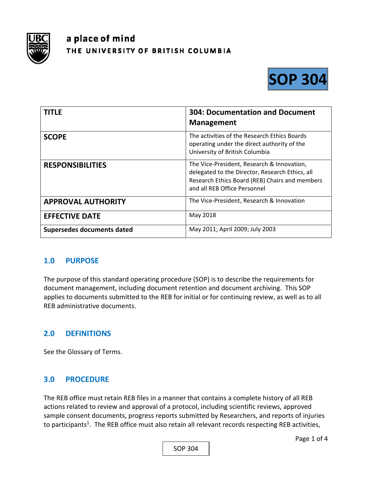

# a place of mind THE UNIVERSITY OF BRITISH COLUMBIA



| <b>TITLE</b>               | <b>304: Documentation and Document</b><br><b>Management</b>                                                                                                                     |
|----------------------------|---------------------------------------------------------------------------------------------------------------------------------------------------------------------------------|
| <b>SCOPE</b>               | The activities of the Research Ethics Boards<br>operating under the direct authority of the<br>University of British Columbia                                                   |
| <b>RESPONSIBILITIES</b>    | The Vice-President, Research & Innovation,<br>delegated to the Director, Research Ethics, all<br>Research Ethics Board (REB) Chairs and members<br>and all REB Office Personnel |
| <b>APPROVAL AUTHORITY</b>  | The Vice-President, Research & Innovation                                                                                                                                       |
| <b>EFFECTIVE DATE</b>      | May 2018                                                                                                                                                                        |
| Supersedes documents dated | May 2011; April 2009; July 2003                                                                                                                                                 |

## **1.0 PURPOSE**

The purpose of this standard operating procedure (SOP) is to describe the requirements for document management, including document retention and document archiving. This SOP applies to documents submitted to the REB for initial or for continuing review, as well as to all REB administrative documents.

## **2.0 DEFINITIONS**

See the Glossary of Terms.

## **3.0 PROCEDURE**

The REB office must retain REB files in a manner that contains a complete history of all REB actions related to review and approval of a protocol, including scientific reviews, approved sample consent documents, progress reports submitted by Researchers, and reports of injuries to participants<sup>1</sup>. The REB office must also retain all relevant records respecting REB activities,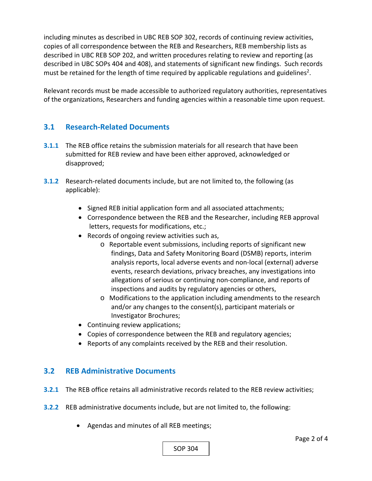including minutes as described in UBC REB SOP 302, records of continuing review activities, copies of all correspondence between the REB and Researchers, REB membership lists as described in UBC REB SOP 202, and written procedures relating to review and reporting (as described in UBC SOPs 404 and 408), and statements of significant new findings. Such records must be retained for the length of time required by applicable regulations and guidelines<sup>2</sup>.

Relevant records must be made accessible to authorized regulatory authorities, representatives of the organizations, Researchers and funding agencies within a reasonable time upon request.

## **3.1 Research‐Related Documents**

- **3.1.1** The REB office retains the submission materials for all research that have been submitted for REB review and have been either approved, acknowledged or disapproved;
- **3.1.2** Research-related documents include, but are not limited to, the following (as applicable):
	- Signed REB initial application form and all associated attachments;
	- Correspondence between the REB and the Researcher, including REB approval letters, requests for modifications, etc.;
	- Records of ongoing review activities such as,
		- o Reportable event submissions, including reports of significant new findings, Data and Safety Monitoring Board (DSMB) reports, interim analysis reports, local adverse events and non‐local (external) adverse events, research deviations, privacy breaches, any investigations into allegations of serious or continuing non‐compliance, and reports of inspections and audits by regulatory agencies or others,
		- o Modifications to the application including amendments to the research and/or any changes to the consent(s), participant materials or Investigator Brochures;
	- Continuing review applications;
	- Copies of correspondence between the REB and regulatory agencies;
	- Reports of any complaints received by the REB and their resolution.

## **3.2 REB Administrative Documents**

- **3.2.1** The REB office retains all administrative records related to the REB review activities;
- **3.2.2** REB administrative documents include, but are not limited to, the following:
	- Agendas and minutes of all REB meetings;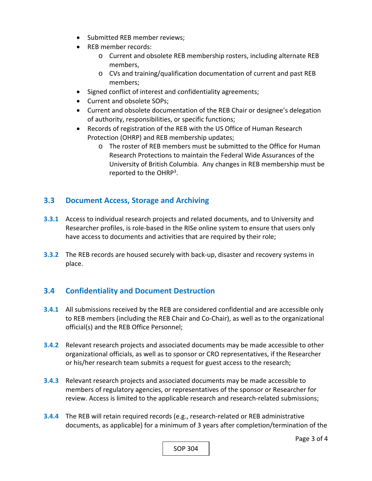- Submitted REB member reviews:
- REB member records:
	- o Current and obsolete REB membership rosters, including alternate REB members,
	- o CVs and training/qualification documentation of current and past REB members;
- Signed conflict of interest and confidentiality agreements;
- Current and obsolete SOPs;
- Current and obsolete documentation of the REB Chair or designee's delegation of authority, responsibilities, or specific functions;
- Records of registration of the REB with the US Office of Human Research Protection (OHRP) and REB membership updates;
	- o The roster of REB members must be submitted to the Office for Human Research Protections to maintain the Federal Wide Assurances of the University of British Columbia. Any changes in REB membership must be reported to the OHRP<sup>3</sup>.

## **3.3 Document Access, Storage and Archiving**

- **3.3.1** Access to individual research projects and related documents, and to University and Researcher profiles, is role‐based in the RISe online system to ensure that users only have access to documents and activities that are required by their role;
- **3.3.2** The REB records are housed securely with back-up, disaster and recovery systems in place.

## **3.4 Confidentiality and Document Destruction**

- **3.4.1** All submissions received by the REB are considered confidential and are accessible only to REB members (including the REB Chair and Co‐Chair), as well as to the organizational official(s) and the REB Office Personnel;
- **3.4.2** Relevant research projects and associated documents may be made accessible to other organizational officials, as well as to sponsor or CRO representatives, if the Researcher or his/her research team submits a request for guest access to the research;
- **3.4.3**  Relevant research projects and associated documents may be made accessible to members of regulatory agencies, or representatives of the sponsor or Researcher for review. Access is limited to the applicable research and research‐related submissions;
- **3.4.4** The REB will retain required records (e.g., research-related or REB administrative documents, as applicable) for a minimum of 3 years after completion/termination of the